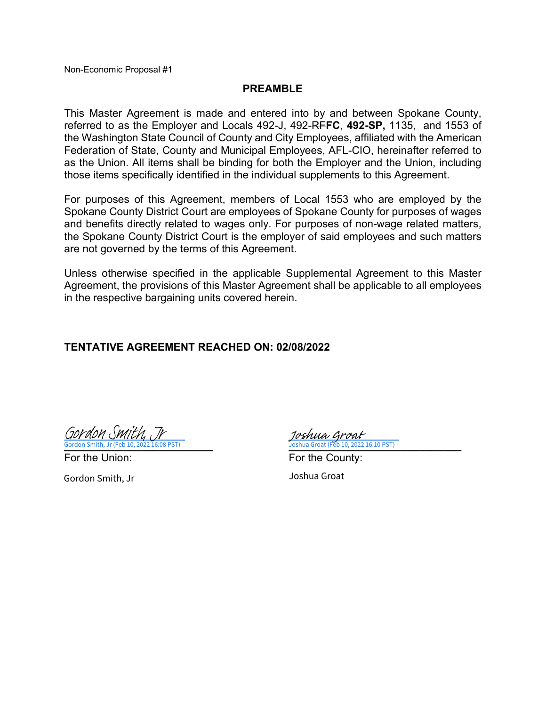## **PREAMBLE**

This Master Agreement is made and entered into by and between Spokane County, referred to as the Employer and Locals 492-J, 492-RF**FC**, **492-SP,** 1135, and 1553 of the Washington State Council of County and City Employees, affiliated with the American Federation of State, County and Municipal Employees, AFL-CIO, hereinafter referred to as the Union. All items shall be binding for both the Employer and the Union, including those items specifically identified in the individual supplements to this Agreement.

For purposes of this Agreement, members of Local 1553 who are employed by the Spokane County District Court are employees of Spokane County for purposes of wages and benefits directly related to wages only. For purposes of non-wage related matters, the Spokane County District Court is the employer of said employees and such matters are not governed by the terms of this Agreement.

Unless otherwise specified in the applicable Supplemental Agreement to this Master Agreement, the provisions of this Master Agreement shall be applicable to all employees in the respective bargaining units covered herein.

## **TENTATIVE AGREEMENT REACHED ON: 02/08/2022**

Gordon Smith, Jr (Feb 10, 2022 16:08 PST) [Gordon Smith, Jr](https://spokanecounty.na4.documents.adobe.com/verifier?tx=CBJCHBCAABAA_zzkcAWVz2Vnaew97gSHB5mAPo-wa8sE)

**ua Groat (Feb 10, 2022 16:10 PST)** Joshua Groat

For the Union: The County: For the County: Gordon Smith, Jr Joshua Groat (Feb 10, 2022 16:10 PST)

Joshua Groat